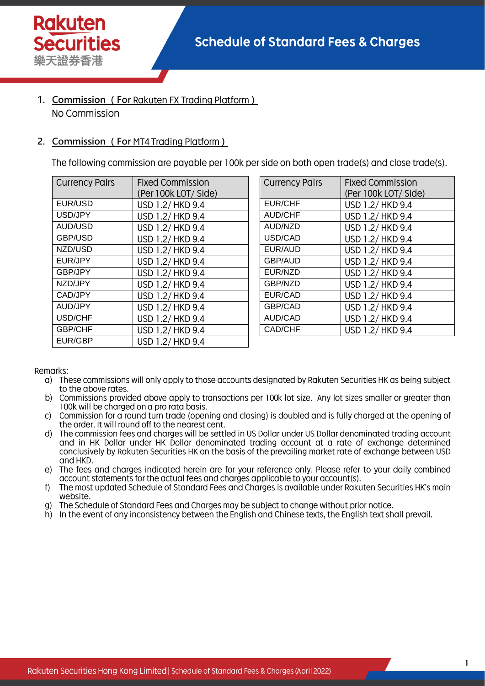- 1. Commission (For Rakuten FX Trading Platform) No Commission
- 2. Commission (For MT4 Trading Platform)

The following commission are payable per 100k per side on both open trade(s) and close trade(s).

| <b>Currency Pairs</b> | <b>Fixed Commission</b> |  |
|-----------------------|-------------------------|--|
|                       | (Per 100k LOT/ Side)    |  |
| EUR/USD               | USD 1.2/ HKD 9.4        |  |
| USD/JPY               | USD 1.2/ HKD 9.4        |  |
| <b>AUD/USD</b>        | USD 1.2/ HKD 9.4        |  |
| GBP/USD               | USD 1.2/ HKD 9.4        |  |
| NZD/USD               | USD 1.2/ HKD 9.4        |  |
| EUR/JPY               | USD 1.2/ HKD 9.4        |  |
| GBP/JPY               | USD 1.2/ HKD 9.4        |  |
| NZD/JPY               | USD 1.2/ HKD 9.4        |  |
| CAD/JPY               | USD 1.2/HKD 9.4         |  |
| AUD/JPY               | USD 1.2/ HKD 9.4        |  |
| USD/CHF               | USD 1.2/ HKD 9.4        |  |
| <b>GBP/CHF</b>        | USD 1.2/ HKD 9.4        |  |
| EUR/GBP               | USD 1.2/ HKD 9.4        |  |

| <b>Currency Pairs</b> | <b>Fixed Commission</b> |  |
|-----------------------|-------------------------|--|
|                       | (Per 100k LOT/ Side)    |  |
| <b>EUR/CHF</b>        | USD 1.2/ HKD 9.4        |  |
| <b>AUD/CHF</b>        | USD 1.2/ HKD 9.4        |  |
| <b>AUD/NZD</b>        | USD 1.2/ HKD 9.4        |  |
| USD/CAD               | USD 1.2/ HKD 9.4        |  |
| EUR/AUD               | USD 1.2/ HKD 9.4        |  |
| <b>GBP/AUD</b>        | USD 1.2/ HKD 9.4        |  |
| EUR/NZD               | USD 1.2/ HKD 9.4        |  |
| GBP/NZD               | USD 1.2/ HKD 9.4        |  |
| EUR/CAD               | USD 1.2/ HKD 9.4        |  |
| GBP/CAD               | USD 1.2/ HKD 9.4        |  |
| <b>AUD/CAD</b>        | USD 1.2/ HKD 9.4        |  |
| CAD/CHF               | USD 1.2/ HKD 9.4        |  |

Remarks:

- g) These commissions will only apply to those accounts designated by Rakuten Securities HK as being subject to the above rates.
- Commissions provided above apply to transactions per 100k lot size. Any lot sizes smaller or greater than  $b)$ 100k will be charged on a pro rata basis.
- Commission for a round turn trade (opening and closing) is doubled and is fully charged at the opening of  $\mathsf{C}$ the order. It will round off to the nearest cent.
- d) The commission fees and charges will be settled in US Dollar under US Dollar denominated trading account and in HK Dollar under HK Dollar denominated trading account at a rate of exchange determined conclusively by Rakuten Securities HK on the basis of the prevailing market rate of exchange between USD and HKD.
- e) The fees and charges indicated herein are for your reference only. Please refer to your daily combined account statements for the actual fees and charges applicable to your account(s).
- $f$ The most updated Schedule of Standard Fees and Charges is available under Rakuten Securities HK's main website.
- g) The Schedule of Standard Fees and Charges may be subject to change without prior notice.
- h) In the event of any inconsistency between the English and Chinese texts, the English text shall prevail.